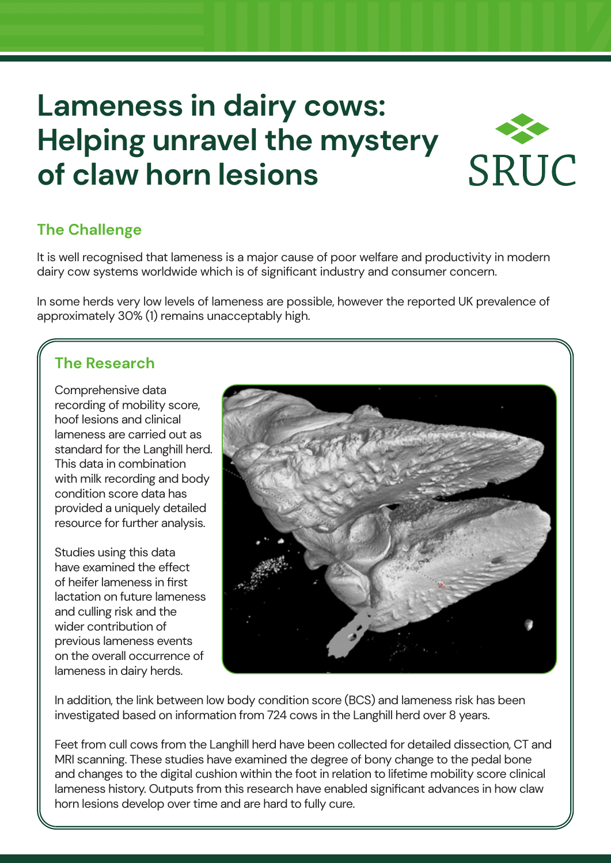# **Lameness in dairy cows: Helping unravel the mystery of claw horn lesions**



# **The Challenge**

It is well recognised that lameness is a major cause of poor welfare and productivity in modern dairy cow systems worldwide which is of significant industry and consumer concern.

In some herds very low levels of lameness are possible, however the reported UK prevalence of approximately 30% (1) remains unacceptably high.

# **The Research**

Comprehensive data recording of mobility score, hoof lesions and clinical lameness are carried out as standard for the Langhill herd. This data in combination with milk recording and body condition score data has provided a uniquely detailed resource for further analysis.

Studies using this data have examined the effect of heifer lameness in first lactation on future lameness and culling risk and the wider contribution of previous lameness events on the overall occurrence of lameness in dairy herds.



In addition, the link between low body condition score (BCS) and lameness risk has been investigated based on information from 724 cows in the Langhill herd over 8 years.

Feet from cull cows from the Langhill herd have been collected for detailed dissection, CT and MRI scanning. These studies have examined the degree of bony change to the pedal bone and changes to the digital cushion within the foot in relation to lifetime mobility score clinical lameness history. Outputs from this research have enabled significant advances in how claw horn lesions develop over time and are hard to fully cure.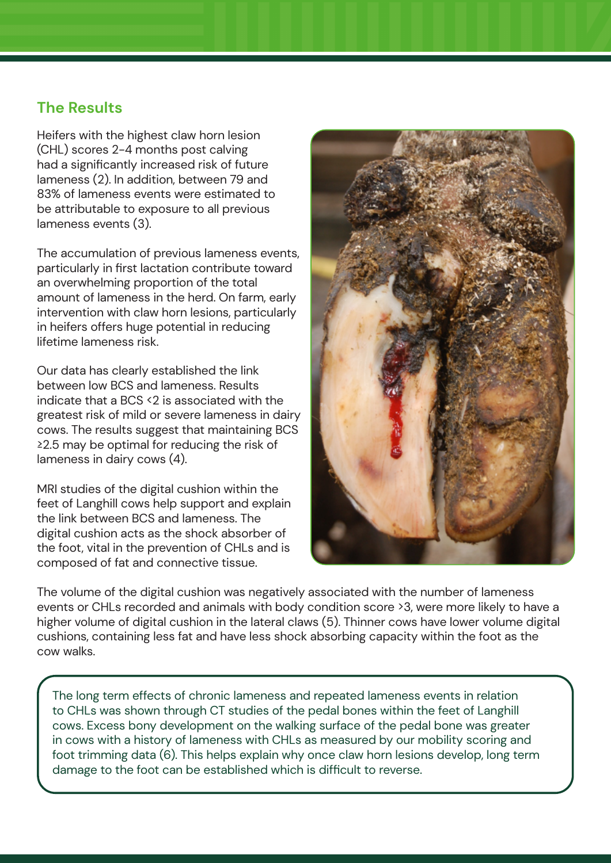### **The Results**

Heifers with the highest claw horn lesion (CHL) scores 2-4 months post calving had a significantly increased risk of future lameness (2). In addition, between 79 and 83% of lameness events were estimated to be attributable to exposure to all previous lameness events (3).

The accumulation of previous lameness events, particularly in first lactation contribute toward an overwhelming proportion of the total amount of lameness in the herd. On farm, early intervention with claw horn lesions, particularly in heifers offers huge potential in reducing lifetime lameness risk.

Our data has clearly established the link between low BCS and lameness. Results indicate that a BCS <2 is associated with the greatest risk of mild or severe lameness in dairy cows. The results suggest that maintaining BCS ≥2.5 may be optimal for reducing the risk of lameness in dairy cows (4).

MRI studies of the digital cushion within the feet of Langhill cows help support and explain the link between BCS and lameness. The digital cushion acts as the shock absorber of the foot, vital in the prevention of CHLs and is composed of fat and connective tissue.



The volume of the digital cushion was negatively associated with the number of lameness events or CHLs recorded and animals with body condition score >3, were more likely to have a higher volume of digital cushion in the lateral claws (5). Thinner cows have lower volume digital cushions, containing less fat and have less shock absorbing capacity within the foot as the cow walks.

The long term effects of chronic lameness and repeated lameness events in relation to CHLs was shown through CT studies of the pedal bones within the feet of Langhill cows. Excess bony development on the walking surface of the pedal bone was greater in cows with a history of lameness with CHLs as measured by our mobility scoring and foot trimming data (6). This helps explain why once claw horn lesions develop, long term damage to the foot can be established which is difficult to reverse.